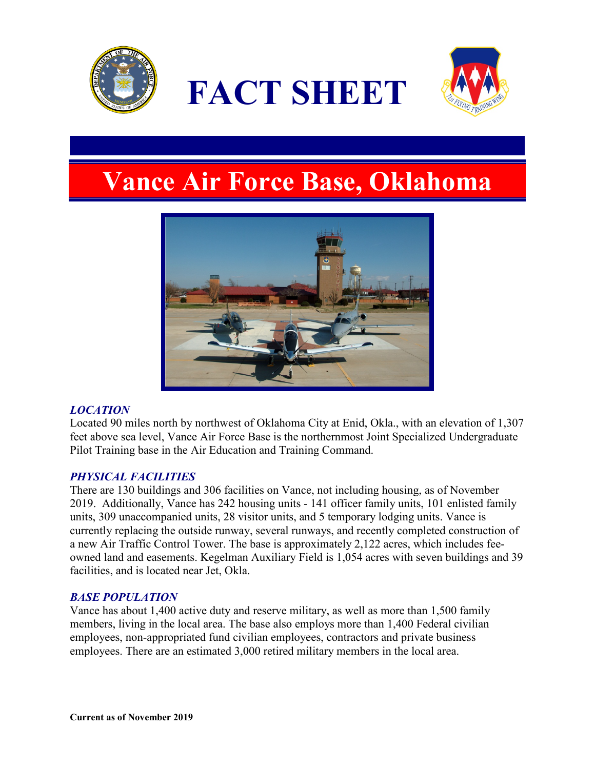





# **Vance Air Force Base, Oklahoma**



# *LOCATION*

Located 90 miles north by northwest of Oklahoma City at Enid, Okla., with an elevation of 1,307 feet above sea level, Vance Air Force Base is the northernmost Joint Specialized Undergraduate Pilot Training base in the Air Education and Training Command.

## *PHYSICAL FACILITIES*

There are 130 buildings and 306 facilities on Vance, not including housing, as of November 2019. Additionally, Vance has 242 housing units - 141 officer family units, 101 enlisted family units, 309 unaccompanied units, 28 visitor units, and 5 temporary lodging units. Vance is currently replacing the outside runway, several runways, and recently completed construction of a new Air Traffic Control Tower. The base is approximately 2,122 acres, which includes feeowned land and easements. Kegelman Auxiliary Field is 1,054 acres with seven buildings and 39 facilities, and is located near Jet, Okla.

## *BASE POPULATION*

Vance has about 1,400 active duty and reserve military, as well as more than 1,500 family members, living in the local area. The base also employs more than 1,400 Federal civilian employees, non-appropriated fund civilian employees, contractors and private business employees. There are an estimated 3,000 retired military members in the local area.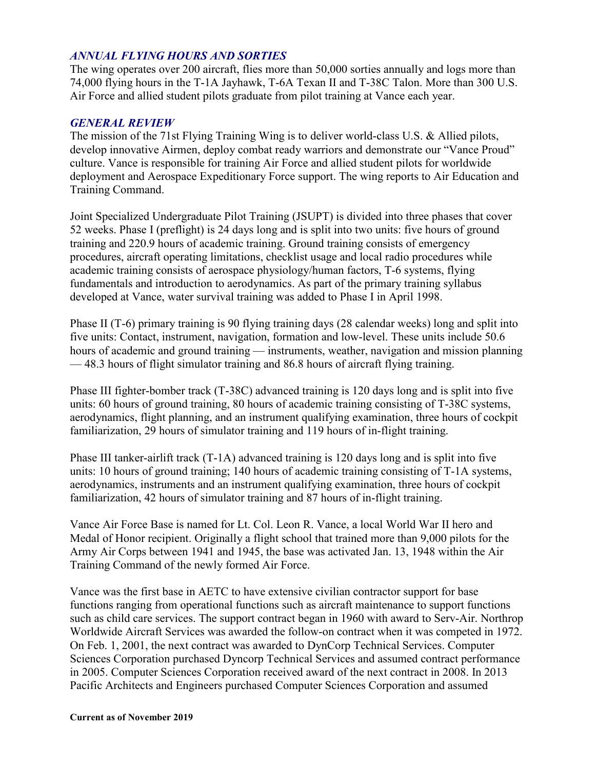### *ANNUAL FLYING HOURS AND SORTIES*

The wing operates over 200 aircraft, flies more than 50,000 sorties annually and logs more than 74,000 flying hours in the T-1A Jayhawk, T-6A Texan II and T-38C Talon. More than 300 U.S. Air Force and allied student pilots graduate from pilot training at Vance each year.

### *GENERAL REVIEW*

The mission of the 71st Flying Training Wing is to deliver world-class U.S. & Allied pilots, develop innovative Airmen, deploy combat ready warriors and demonstrate our "Vance Proud" culture. Vance is responsible for training Air Force and allied student pilots for worldwide deployment and Aerospace Expeditionary Force support. The wing reports to Air Education and Training Command.

Joint Specialized Undergraduate Pilot Training (JSUPT) is divided into three phases that cover 52 weeks. Phase I (preflight) is 24 days long and is split into two units: five hours of ground training and 220.9 hours of academic training. Ground training consists of emergency procedures, aircraft operating limitations, checklist usage and local radio procedures while academic training consists of aerospace physiology/human factors, T-6 systems, flying fundamentals and introduction to aerodynamics. As part of the primary training syllabus developed at Vance, water survival training was added to Phase I in April 1998.

Phase II (T-6) primary training is 90 flying training days (28 calendar weeks) long and split into five units: Contact, instrument, navigation, formation and low-level. These units include 50.6 hours of academic and ground training — instruments, weather, navigation and mission planning — 48.3 hours of flight simulator training and 86.8 hours of aircraft flying training.

Phase III fighter-bomber track (T-38C) advanced training is 120 days long and is split into five units: 60 hours of ground training, 80 hours of academic training consisting of T-38C systems, aerodynamics, flight planning, and an instrument qualifying examination, three hours of cockpit familiarization, 29 hours of simulator training and 119 hours of in-flight training.

Phase III tanker-airlift track  $(T-1A)$  advanced training is 120 days long and is split into five units: 10 hours of ground training; 140 hours of academic training consisting of T-1A systems, aerodynamics, instruments and an instrument qualifying examination, three hours of cockpit familiarization, 42 hours of simulator training and 87 hours of in-flight training.

Vance Air Force Base is named for Lt. Col. Leon R. Vance, a local World War II hero and Medal of Honor recipient. Originally a flight school that trained more than 9,000 pilots for the Army Air Corps between 1941 and 1945, the base was activated Jan. 13, 1948 within the Air Training Command of the newly formed Air Force.

Vance was the first base in AETC to have extensive civilian contractor support for base functions ranging from operational functions such as aircraft maintenance to support functions such as child care services. The support contract began in 1960 with award to Serv-Air. Northrop Worldwide Aircraft Services was awarded the follow-on contract when it was competed in 1972. On Feb. 1, 2001, the next contract was awarded to DynCorp Technical Services. Computer Sciences Corporation purchased Dyncorp Technical Services and assumed contract performance in 2005. Computer Sciences Corporation received award of the next contract in 2008. In 2013 Pacific Architects and Engineers purchased Computer Sciences Corporation and assumed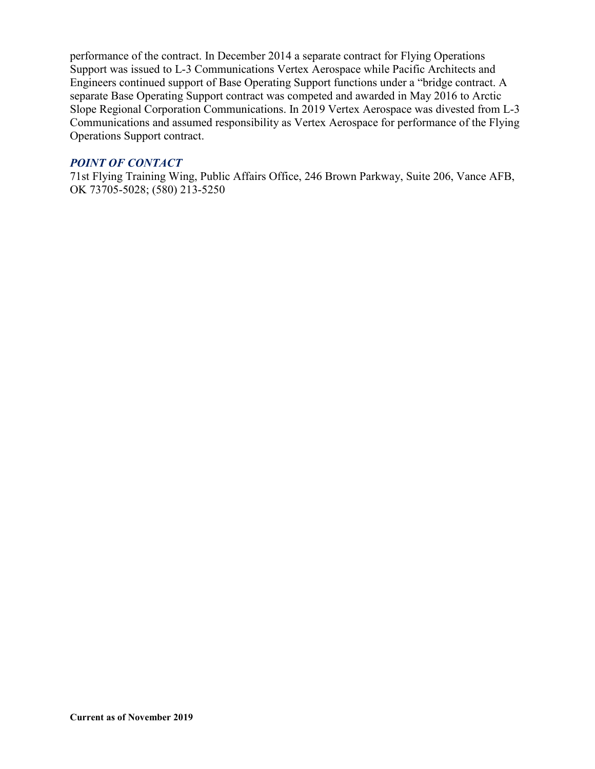performance of the contract. In December 2014 a separate contract for Flying Operations Support was issued to L-3 Communications Vertex Aerospace while Pacific Architects and Engineers continued support of Base Operating Support functions under a "bridge contract. A separate Base Operating Support contract was competed and awarded in May 2016 to Arctic Slope Regional Corporation Communications. In 2019 Vertex Aerospace was divested from L-3 Communications and assumed responsibility as Vertex Aerospace for performance of the Flying Operations Support contract.

### *POINT OF CONTACT*

71st Flying Training Wing, Public Affairs Office, 246 Brown Parkway, Suite 206, Vance AFB, OK 73705-5028; (580) 213-5250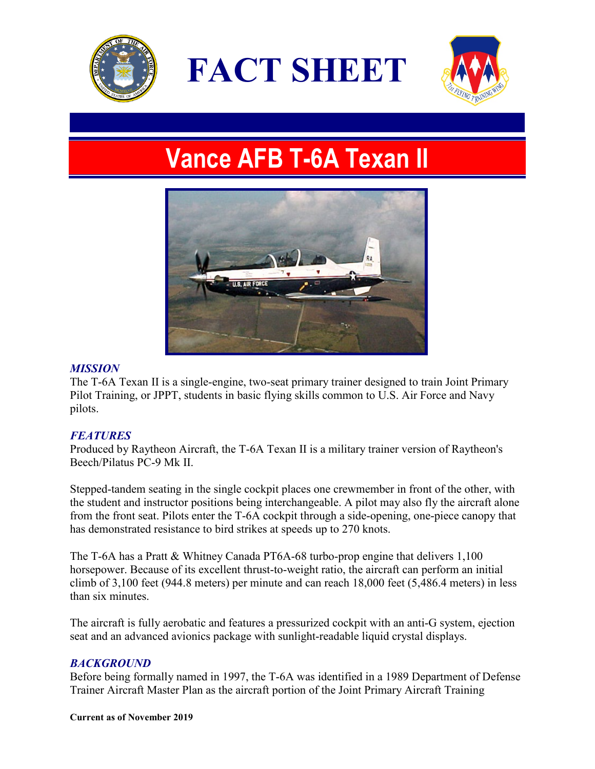

**FACT SHEET**



# **Vance AFB T-6A Texan II**



## *MISSION*

The T-6A Texan II is a single-engine, two-seat primary trainer designed to train Joint Primary Pilot Training, or JPPT, students in basic flying skills common to U.S. Air Force and Navy pilots.

## *FEATURES*

Produced by Raytheon Aircraft, the T-6A Texan II is a military trainer version of Raytheon's Beech/Pilatus PC-9 Mk II.

Stepped-tandem seating in the single cockpit places one crewmember in front of the other, with the student and instructor positions being interchangeable. A pilot may also fly the aircraft alone from the front seat. Pilots enter the T-6A cockpit through a side-opening, one-piece canopy that has demonstrated resistance to bird strikes at speeds up to 270 knots.

The T-6A has a Pratt & Whitney Canada PT6A-68 turbo-prop engine that delivers 1,100 horsepower. Because of its excellent thrust-to-weight ratio, the aircraft can perform an initial climb of 3,100 feet (944.8 meters) per minute and can reach 18,000 feet (5,486.4 meters) in less than six minutes.

The aircraft is fully aerobatic and features a pressurized cockpit with an anti-G system, ejection seat and an advanced avionics package with sunlight-readable liquid crystal displays.

## *BACKGROUND*

Before being formally named in 1997, the T-6A was identified in a 1989 Department of Defense Trainer Aircraft Master Plan as the aircraft portion of the Joint Primary Aircraft Training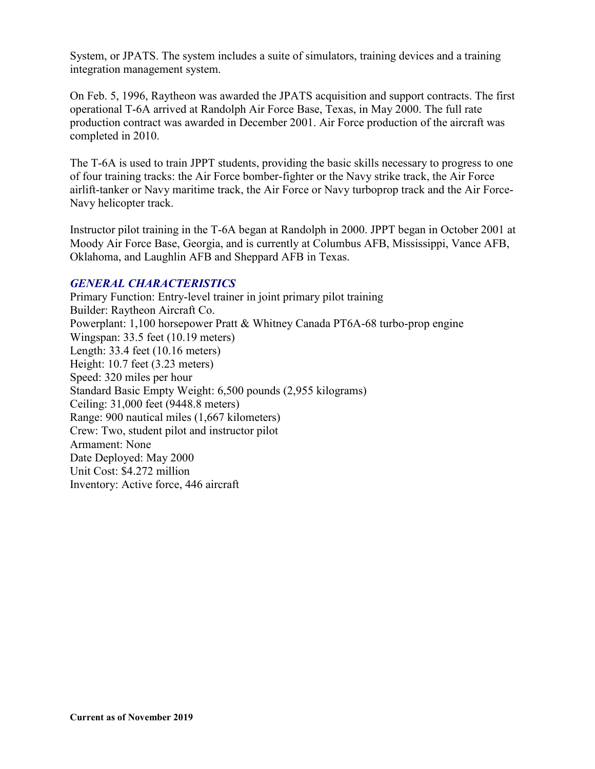System, or JPATS. The system includes a suite of simulators, training devices and a training integration management system.

On Feb. 5, 1996, Raytheon was awarded the JPATS acquisition and support contracts. The first operational T-6A arrived at Randolph Air Force Base, Texas, in May 2000. The full rate production contract was awarded in December 2001. Air Force production of the aircraft was completed in 2010.

The T-6A is used to train JPPT students, providing the basic skills necessary to progress to one of four training tracks: the Air Force bomber-fighter or the Navy strike track, the Air Force airlift-tanker or Navy maritime track, the Air Force or Navy turboprop track and the Air Force-Navy helicopter track.

Instructor pilot training in the T-6A began at Randolph in 2000. JPPT began in October 2001 at Moody Air Force Base, Georgia, and is currently at Columbus AFB, Mississippi, Vance AFB, Oklahoma, and Laughlin AFB and Sheppard AFB in Texas.

## *GENERAL CHARACTERISTICS*

Primary Function: Entry-level trainer in joint primary pilot training Builder: Raytheon Aircraft Co. Powerplant: 1,100 horsepower Pratt & Whitney Canada PT6A-68 turbo-prop engine Wingspan: 33.5 feet (10.19 meters) Length: 33.4 feet (10.16 meters) Height: 10.7 feet (3.23 meters) Speed: 320 miles per hour Standard Basic Empty Weight: 6,500 pounds (2,955 kilograms) Ceiling: 31,000 feet (9448.8 meters) Range: 900 nautical miles (1,667 kilometers) Crew: Two, student pilot and instructor pilot Armament: None Date Deployed: May 2000 Unit Cost: \$4.272 million Inventory: Active force, 446 aircraft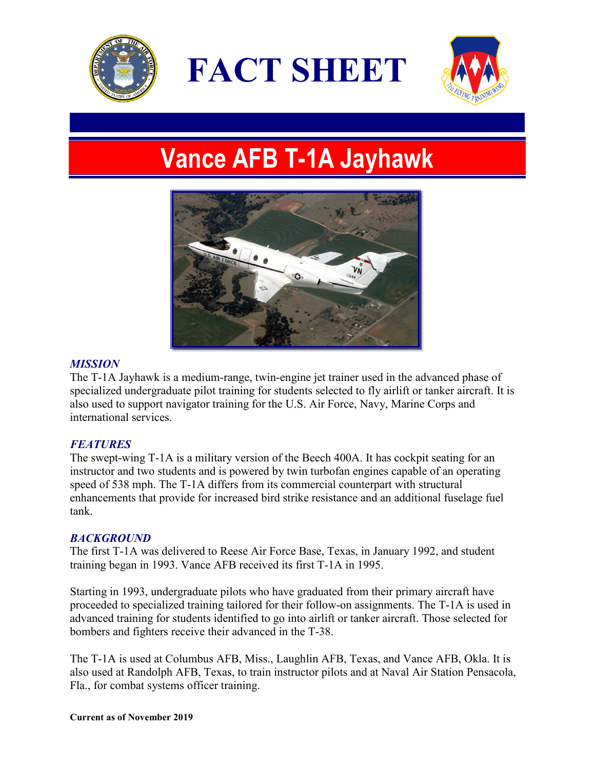

**FACT SHEET**



# **Vance AFB T-1A Jayhawk**



### *MISSION*

The T-1A Jayhawk is a medium-range, twin-engine jet trainer used in the advanced phase of specialized undergraduate pilot training for students selected to fly airlift or tanker aircraft. It is also used to support navigator training for the U.S. Air Force, Navy, Marine Corps and international services.

## *FEATURES*

The swept-wing T-1A is a military version of the Beech 400A. It has cockpit seating for an instructor and two students and is powered by twin turbofan engines capable of an operating speed of 538 mph. The T-1A differs from its commercial counterpart with structural enhancements that provide for increased bird strike resistance and an additional fuselage fuel tank.

### *BACKGROUND*

The first T-1A was delivered to Reese Air Force Base, Texas, in January 1992, and student training began in 1993. Vance AFB received its first T-1A in 1995.

Starting in 1993, undergraduate pilots who have graduated from their primary aircraft have proceeded to specialized training tailored for their follow-on assignments. The T-1A is used in advanced training for students identified to go into airlift or tanker aircraft. Those selected for bombers and fighters receive their advanced in the T-38.

The T-1A is used at Columbus AFB, Miss., Laughlin AFB, Texas, and Vance AFB, Okla. It is also used at Randolph AFB, Texas, to train instructor pilots and at Naval Air Station Pensacola, Fla., for combat systems officer training.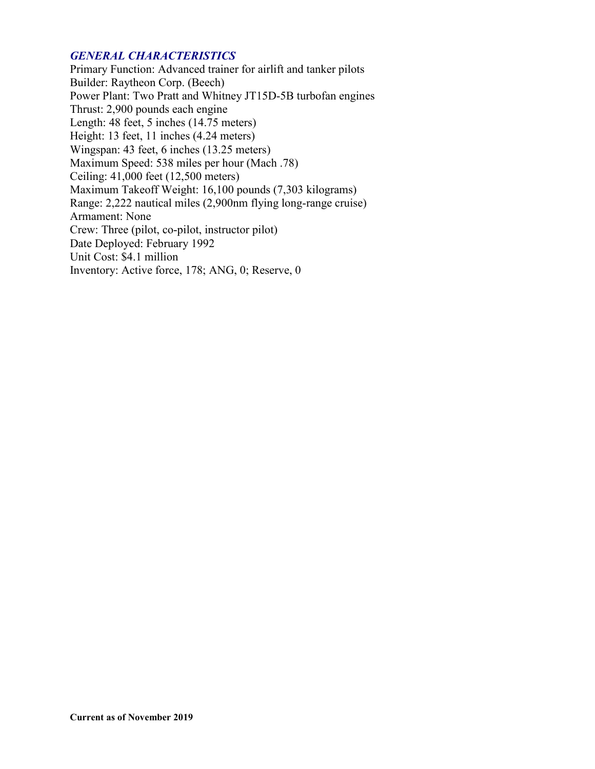## *GENERAL CHARACTERISTICS*

Primary Function: Advanced trainer for airlift and tanker pilots Builder: Raytheon Corp. (Beech) Power Plant: Two Pratt and Whitney JT15D-5B turbofan engines Thrust: 2,900 pounds each engine Length: 48 feet, 5 inches (14.75 meters) Height: 13 feet, 11 inches (4.24 meters) Wingspan: 43 feet, 6 inches (13.25 meters) Maximum Speed: 538 miles per hour (Mach .78) Ceiling: 41,000 feet (12,500 meters) Maximum Takeoff Weight: 16,100 pounds (7,303 kilograms) Range: 2,222 nautical miles (2,900nm flying long-range cruise) Armament: None Crew: Three (pilot, co-pilot, instructor pilot) Date Deployed: February 1992 Unit Cost: \$4.1 million Inventory: Active force, 178; ANG, 0; Reserve, 0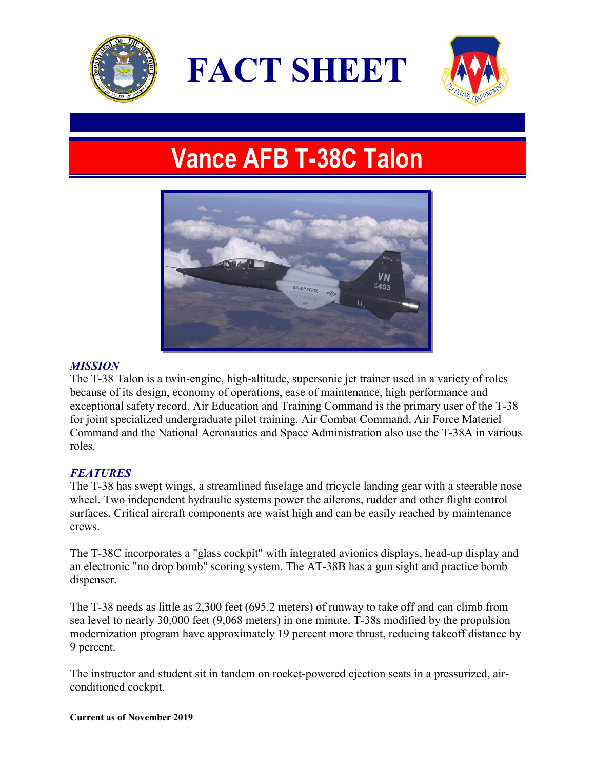

**FACT SHEET**



# **Vance AFB T-38C Talon**



# *MISSION*

The T-38 Talon is a twin-engine, high-altitude, supersonic jet trainer used in a variety of roles because of its design, economy of operations, ease of maintenance, high performance and exceptional safety record. Air Education and Training Command is the primary user of the T-38 for joint specialized undergraduate pilot training. Air Combat Command, Air Force Materiel Command and the National Aeronautics and Space Administration also use the T-38A in various roles.

# *FEATURES*

The T-38 has swept wings, a streamlined fuselage and tricycle landing gear with a steerable nose wheel. Two independent hydraulic systems power the ailerons, rudder and other flight control surfaces. Critical aircraft components are waist high and can be easily reached by maintenance crews.

The T-38C incorporates a "glass cockpit" with integrated avionics displays, head-up display and an electronic "no drop bomb" scoring system. The AT-38B has a gun sight and practice bomb dispenser.

The T-38 needs as little as 2,300 feet (695.2 meters) of runway to take off and can climb from sea level to nearly 30,000 feet (9,068 meters) in one minute. T-38s modified by the propulsion modernization program have approximately 19 percent more thrust, reducing takeoff distance by 9 percent.

The instructor and student sit in tandem on rocket-powered ejection seats in a pressurized, airconditioned cockpit.